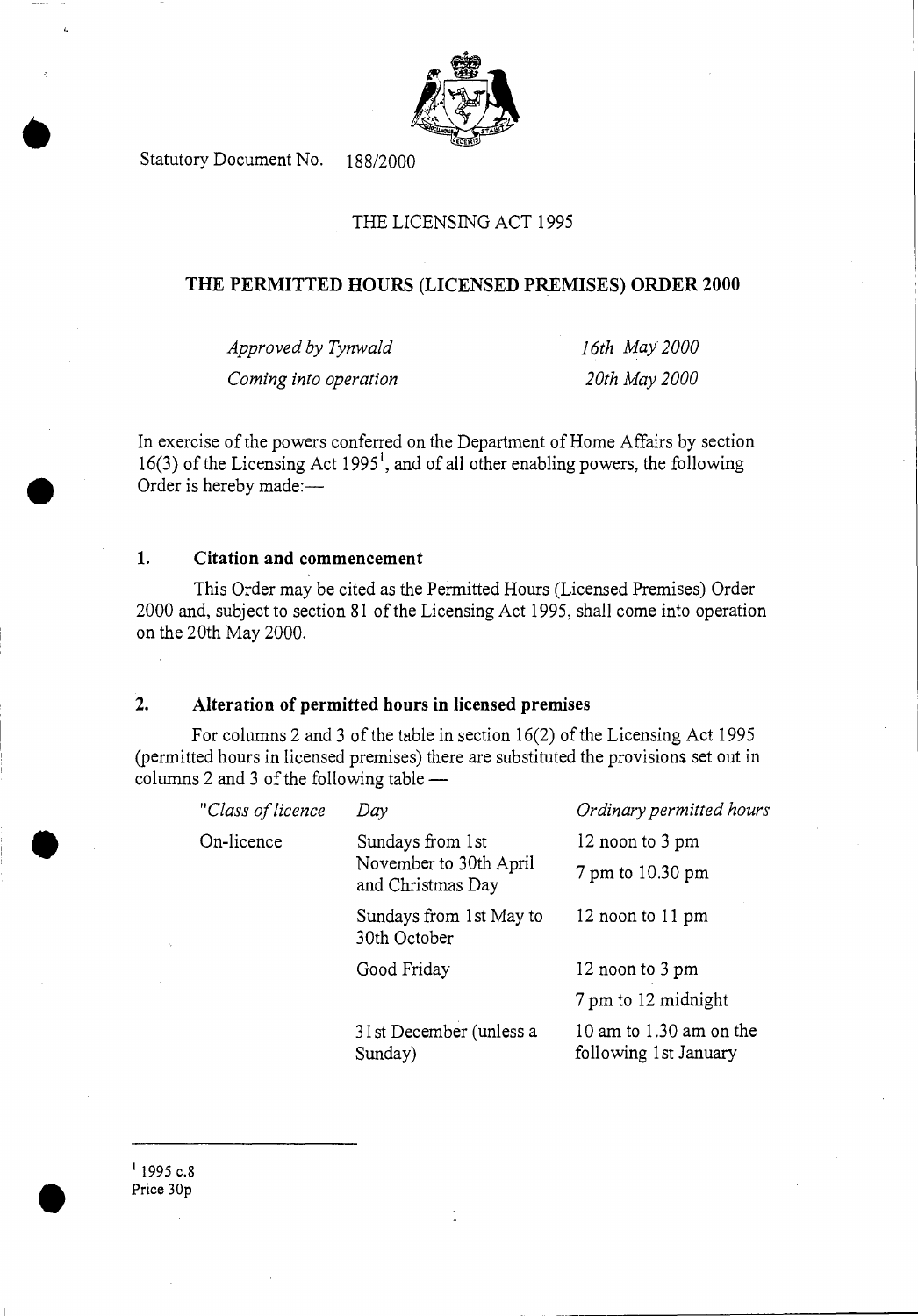

Statutory Document No. 188/2000

# THE LICENSING ACT 1995

### **THE PERMITTED HOURS (LICENSED PREMISES) ORDER 2000**

*Approved by Tynwald 16th May 2000 Coming into operation 20th May 2000* 

In exercise of the powers conferred on the Department of Home Affairs by section  $16(3)$  of the Licensing Act 1995<sup>1</sup>, and of all other enabling powers, the following Order is hereby made:—

#### **1. Citation and commencement**

This Order may be cited as the Permitted Hours (Licensed Premises) Order 2000 and, subject to section 81 of the Licensing Act 1995, shall come into operation on the 20th May 2000.

### **2. Alteration of permitted hours in licensed premises**

For columns 2 and 3 of the table in section 16(2) of the Licensing Act 1995 (permitted hours in licensed premises) there are substituted the provisions set out in columns 2 and 3 of the following table *—* 

| "Class of licence | Day                                                             | Ordinary permitted hours                             |
|-------------------|-----------------------------------------------------------------|------------------------------------------------------|
| On-licence        | Sundays from 1st<br>November to 30th April<br>and Christmas Day | 12 noon to 3 pm                                      |
|                   |                                                                 | 7 pm to 10.30 pm                                     |
|                   | Sundays from 1st May to<br>30th October                         | 12 noon to 11 pm                                     |
|                   | Good Friday                                                     | 12 noon to 3 pm                                      |
|                   |                                                                 | 7 pm to 12 midnight                                  |
|                   | 31st December (unless a<br>Sunday)                              | $10$ am to $1.30$ am on the<br>following 1st January |

 $1995$  c.8 Price 30p

 $\mathbf{1}$